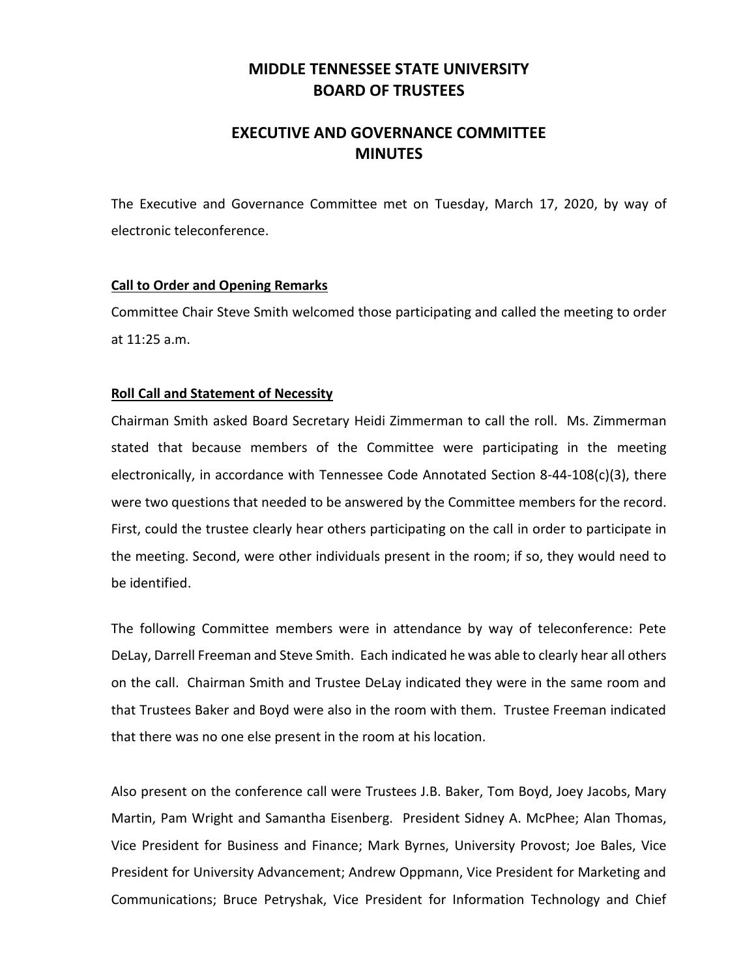# **MIDDLE TENNESSEE STATE UNIVERSITY BOARD OF TRUSTEES**

# **EXECUTIVE AND GOVERNANCE COMMITTEE MINUTES**

The Executive and Governance Committee met on Tuesday, March 17, 2020, by way of electronic teleconference.

### **Call to Order and Opening Remarks**

Committee Chair Steve Smith welcomed those participating and called the meeting to order at 11:25 a.m.

## **Roll Call and Statement of Necessity**

Chairman Smith asked Board Secretary Heidi Zimmerman to call the roll. Ms. Zimmerman stated that because members of the Committee were participating in the meeting electronically, in accordance with Tennessee Code Annotated Section 8-44-108 $(c)(3)$ , there were two questions that needed to be answered by the Committee members for the record. First, could the trustee clearly hear others participating on the call in order to participate in the meeting. Second, were other individuals present in the room; if so, they would need to be identified.

The following Committee members were in attendance by way of teleconference: Pete DeLay, Darrell Freeman and Steve Smith. Each indicated he was able to clearly hear all others on the call. Chairman Smith and Trustee DeLay indicated they were in the same room and that Trustees Baker and Boyd were also in the room with them. Trustee Freeman indicated that there was no one else present in the room at his location.

Also present on the conference call were Trustees J.B. Baker, Tom Boyd, Joey Jacobs, Mary Martin, Pam Wright and Samantha Eisenberg. President Sidney A. McPhee; Alan Thomas, Vice President for Business and Finance; Mark Byrnes, University Provost; Joe Bales, Vice President for University Advancement; Andrew Oppmann, Vice President for Marketing and Communications; Bruce Petryshak, Vice President for Information Technology and Chief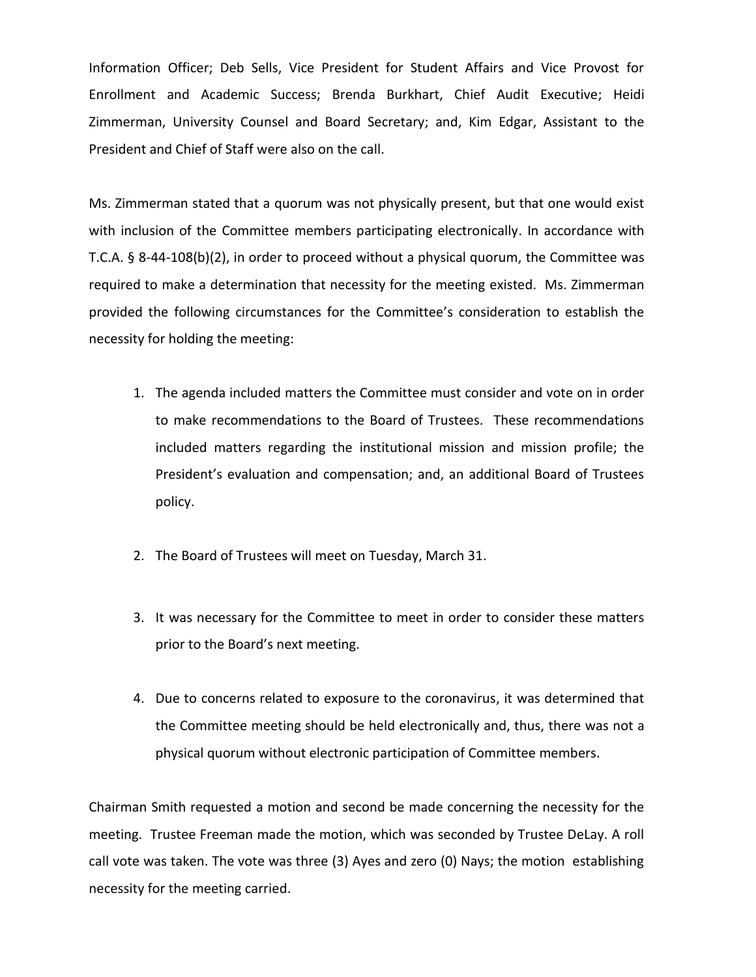Information Officer; Deb Sells, Vice President for Student Affairs and Vice Provost for Enrollment and Academic Success; Brenda Burkhart, Chief Audit Executive; Heidi Zimmerman, University Counsel and Board Secretary; and, Kim Edgar, Assistant to the President and Chief of Staff were also on the call.

Ms. Zimmerman stated that a quorum was not physically present, but that one would exist with inclusion of the Committee members participating electronically. In accordance with T.C.A. § 8-44-108(b)(2), in order to proceed without a physical quorum, the Committee was required to make a determination that necessity for the meeting existed. Ms. Zimmerman provided the following circumstances for the Committee's consideration to establish the necessity for holding the meeting:

- 1. The agenda included matters the Committee must consider and vote on in order to make recommendations to the Board of Trustees. These recommendations included matters regarding the institutional mission and mission profile; the President's evaluation and compensation; and, an additional Board of Trustees policy.
- 2. The Board of Trustees will meet on Tuesday, March 31.
- 3. It was necessary for the Committee to meet in order to consider these matters prior to the Board's next meeting.
- 4. Due to concerns related to exposure to the coronavirus, it was determined that the Committee meeting should be held electronically and, thus, there was not a physical quorum without electronic participation of Committee members.

Chairman Smith requested a motion and second be made concerning the necessity for the meeting. Trustee Freeman made the motion, which was seconded by Trustee DeLay. A roll call vote was taken. The vote was three (3) Ayes and zero (0) Nays; the motion establishing necessity for the meeting carried.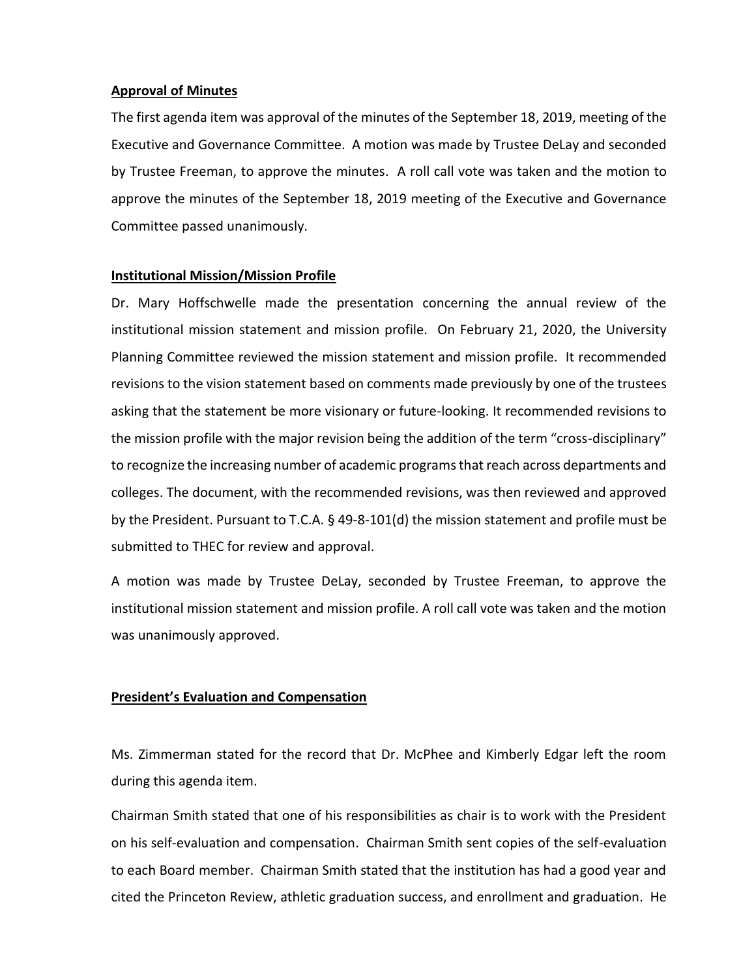#### **Approval of Minutes**

The first agenda item was approval of the minutes of the September 18, 2019, meeting of the Executive and Governance Committee. A motion was made by Trustee DeLay and seconded by Trustee Freeman, to approve the minutes. A roll call vote was taken and the motion to approve the minutes of the September 18, 2019 meeting of the Executive and Governance Committee passed unanimously.

#### **Institutional Mission/Mission Profile**

Dr. Mary Hoffschwelle made the presentation concerning the annual review of the institutional mission statement and mission profile. On February 21, 2020, the University Planning Committee reviewed the mission statement and mission profile. It recommended revisions to the vision statement based on comments made previously by one of the trustees asking that the statement be more visionary or future-looking. It recommended revisions to the mission profile with the major revision being the addition of the term "cross-disciplinary" to recognize the increasing number of academic programs that reach across departments and colleges. The document, with the recommended revisions, was then reviewed and approved by the President. Pursuant to T.C.A. § 49-8-101(d) the mission statement and profile must be submitted to THEC for review and approval.

A motion was made by Trustee DeLay, seconded by Trustee Freeman, to approve the institutional mission statement and mission profile. A roll call vote was taken and the motion was unanimously approved.

#### **President's Evaluation and Compensation**

Ms. Zimmerman stated for the record that Dr. McPhee and Kimberly Edgar left the room during this agenda item.

Chairman Smith stated that one of his responsibilities as chair is to work with the President on his self-evaluation and compensation. Chairman Smith sent copies of the self-evaluation to each Board member. Chairman Smith stated that the institution has had a good year and cited the Princeton Review, athletic graduation success, and enrollment and graduation. He